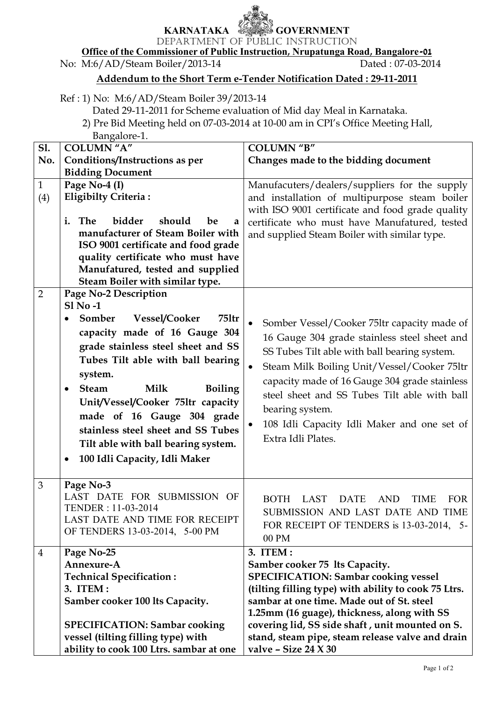## **KARNATAKA GOVERNMENT**

DEPARTMENT OF PUBLIC INSTRUCTION **Office of the Commissioner of Public Instruction, Nrupatunga Road, Bangalore-01**

|                | No: M:6/AD/Steam Boiler/2013-14                            | Dated: 07-03-2014                                                                                                                                       |
|----------------|------------------------------------------------------------|---------------------------------------------------------------------------------------------------------------------------------------------------------|
|                |                                                            | Addendum to the Short Term e-Tender Notification Dated: 29-11-2011                                                                                      |
|                | Ref: 1) No: M:6/AD/Steam Boiler 39/2013-14<br>Bangalore-1. | Dated 29-11-2011 for Scheme evaluation of Mid day Meal in Karnataka.<br>2) Pre Bid Meeting held on 07-03-2014 at 10-00 am in CPI's Office Meeting Hall, |
| S1.            | <b>COLUMN</b> "A"                                          | <b>COLUMN "B"</b>                                                                                                                                       |
| No.            | Conditions/Instructions as per                             | Changes made to the bidding document                                                                                                                    |
|                | <b>Bidding Document</b>                                    |                                                                                                                                                         |
| $\mathbf{1}$   | Page No-4 (I)                                              | Manufacuters/dealers/suppliers for the supply                                                                                                           |
| (4)            | <b>Eligibilty Criteria:</b>                                | and installation of multipurpose steam boiler<br>with ISO 9001 certificate and food grade quality                                                       |
|                | The<br>bidder<br>i.<br>should<br>be<br>a                   | certificate who must have Manufatured, tested                                                                                                           |
|                | manufacturer of Steam Boiler with                          | and supplied Steam Boiler with similar type.                                                                                                            |
|                | ISO 9001 certificate and food grade                        |                                                                                                                                                         |
|                | quality certificate who must have                          |                                                                                                                                                         |
|                | Manufatured, tested and supplied                           |                                                                                                                                                         |
|                | Steam Boiler with similar type.                            |                                                                                                                                                         |
| $\overline{2}$ | Page No-2 Description                                      |                                                                                                                                                         |
|                | <b>S1 No-1</b>                                             |                                                                                                                                                         |
|                | Vessel/Cooker<br>751tr<br>Somber<br>$\bullet$              |                                                                                                                                                         |
|                |                                                            | Somber Vessel/Cooker 75ltr capacity made of<br>$\bullet$                                                                                                |
|                | capacity made of 16 Gauge 304                              | 16 Gauge 304 grade stainless steel sheet and                                                                                                            |
|                | grade stainless steel sheet and SS                         | SS Tubes Tilt able with ball bearing system.                                                                                                            |
|                | Tubes Tilt able with ball bearing                          |                                                                                                                                                         |
|                | system.                                                    | Steam Milk Boiling Unit/Vessel/Cooker 751tr                                                                                                             |
|                | <b>Steam</b><br><b>Milk</b><br><b>Boiling</b><br>$\bullet$ | capacity made of 16 Gauge 304 grade stainless                                                                                                           |
|                |                                                            | steel sheet and SS Tubes Tilt able with ball                                                                                                            |
|                | Unit/Vessel/Cooker 75ltr capacity                          | bearing system.                                                                                                                                         |
|                | made of 16 Gauge 304 grade                                 | 108 Idli Capacity Idli Maker and one set of<br>$\bullet$                                                                                                |
|                | stainless steel sheet and SS Tubes                         |                                                                                                                                                         |
|                | Tilt able with ball bearing system.                        | Extra Idli Plates.                                                                                                                                      |
|                | 100 Idli Capacity, Idli Maker<br>$\bullet$                 |                                                                                                                                                         |
|                |                                                            |                                                                                                                                                         |
| 3              | Page No-3                                                  |                                                                                                                                                         |
|                | LAST DATE FOR SUBMISSION OF                                |                                                                                                                                                         |
|                | TENDER: 11-03-2014                                         | BOTH LAST<br><b>DATE</b><br><b>AND</b><br><b>FOR</b><br><b>TIME</b>                                                                                     |
|                |                                                            | SUBMISSION AND LAST DATE AND TIME                                                                                                                       |
|                | LAST DATE AND TIME FOR RECEIPT                             | FOR RECEIPT OF TENDERS is 13-03-2014, 5-                                                                                                                |
|                | OF TENDERS 13-03-2014, 5-00 PM                             | 00 PM                                                                                                                                                   |
| 4              | Page No-25                                                 | 3. ITEM :                                                                                                                                               |
|                | Annexure-A                                                 | Samber cooker 75 lts Capacity.                                                                                                                          |
|                | <b>Technical Specification:</b>                            | <b>SPECIFICATION: Sambar cooking vessel</b>                                                                                                             |
|                | 3. ITEM :                                                  | (tilting filling type) with ability to cook 75 Ltrs.                                                                                                    |
|                |                                                            | sambar at one time. Made out of St. steel                                                                                                               |
|                | Samber cooker 100 lts Capacity.                            |                                                                                                                                                         |
|                |                                                            | 1.25mm (16 guage), thickness, along with SS                                                                                                             |
|                | <b>SPECIFICATION: Sambar cooking</b>                       | covering lid, SS side shaft, unit mounted on S.                                                                                                         |
|                | vessel (tilting filling type) with                         | stand, steam pipe, steam release valve and drain                                                                                                        |
|                | ability to cook 100 Ltrs. sambar at one                    | valve - Size $24 X 30$                                                                                                                                  |